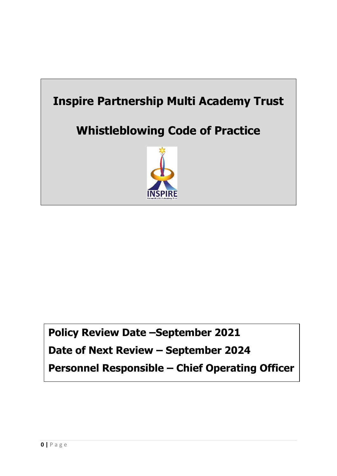

# **Policy Review Date –September 2021**

**Date of Next Review – September 2024**

**Personnel Responsible – Chief Operating Officer**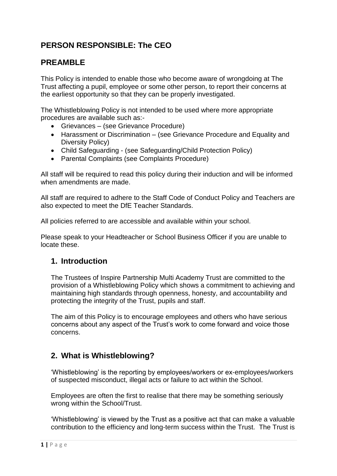# **PERSON RESPONSIBLE: The CEO**

# **PREAMBLE**

This Policy is intended to enable those who become aware of wrongdoing at The Trust affecting a pupil, employee or some other person, to report their concerns at the earliest opportunity so that they can be properly investigated.

The Whistleblowing Policy is not intended to be used where more appropriate procedures are available such as:-

- Grievances (see Grievance Procedure)
- Harassment or Discrimination (see Grievance Procedure and Equality and Diversity Policy)
- Child Safeguarding (see Safeguarding/Child Protection Policy)
- Parental Complaints (see Complaints Procedure)

All staff will be required to read this policy during their induction and will be informed when amendments are made.

All staff are required to adhere to the Staff Code of Conduct Policy and Teachers are also expected to meet the DfE Teacher Standards.

All policies referred to are accessible and available within your school.

Please speak to your Headteacher or School Business Officer if you are unable to locate these.

### **1. Introduction**

The Trustees of Inspire Partnership Multi Academy Trust are committed to the provision of a Whistleblowing Policy which shows a commitment to achieving and maintaining high standards through openness, honesty, and accountability and protecting the integrity of the Trust, pupils and staff.

The aim of this Policy is to encourage employees and others who have serious concerns about any aspect of the Trust's work to come forward and voice those concerns.

# **2. What is Whistleblowing?**

'Whistleblowing' is the reporting by employees/workers or ex-employees/workers of suspected misconduct, illegal acts or failure to act within the School.

Employees are often the first to realise that there may be something seriously wrong within the School/Trust.

'Whistleblowing' is viewed by the Trust as a positive act that can make a valuable contribution to the efficiency and long-term success within the Trust. The Trust is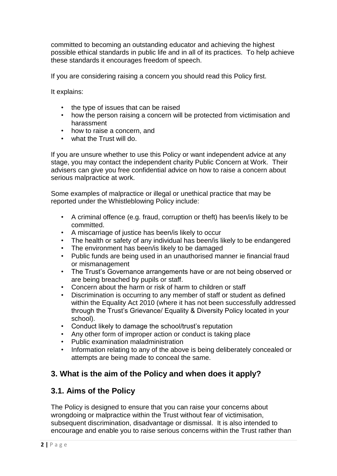committed to becoming an outstanding educator and achieving the highest possible ethical standards in public life and in all of its practices. To help achieve these standards it encourages freedom of speech.

If you are considering raising a concern you should read this Policy first.

It explains:

- the type of issues that can be raised
- how the person raising a concern will be protected from victimisation and harassment
- how to raise a concern, and
- what the Trust will do.

If you are unsure whether to use this Policy or want independent advice at any stage, you may contact the independent charity Public Concern at Work. Their advisers can give you free confidential advice on how to raise a concern about serious malpractice at work.

Some examples of malpractice or illegal or unethical practice that may be reported under the Whistleblowing Policy include:

- A criminal offence (e.g. fraud, corruption or theft) has been/is likely to be committed.
- A miscarriage of justice has been/is likely to occur
- The health or safety of any individual has been/is likely to be endangered
- The environment has been/is likely to be damaged
- Public funds are being used in an unauthorised manner ie financial fraud or mismanagement
- The Trust's Governance arrangements have or are not being observed or are being breached by pupils or staff.
- Concern about the harm or risk of harm to children or staff
- Discrimination is occurring to any member of staff or student as defined within the Equality Act 2010 (where it has not been successfully addressed through the Trust's Grievance/ Equality & Diversity Policy located in your school).
- Conduct likely to damage the school/trust's reputation
- Any other form of improper action or conduct is taking place
- Public examination maladministration
- Information relating to any of the above is being deliberately concealed or attempts are being made to conceal the same.

# **3. What is the aim of the Policy and when does it apply?**

### **3.1. Aims of the Policy**

The Policy is designed to ensure that you can raise your concerns about wrongdoing or malpractice within the Trust without fear of victimisation, subsequent discrimination, disadvantage or dismissal. It is also intended to encourage and enable you to raise serious concerns within the Trust rather than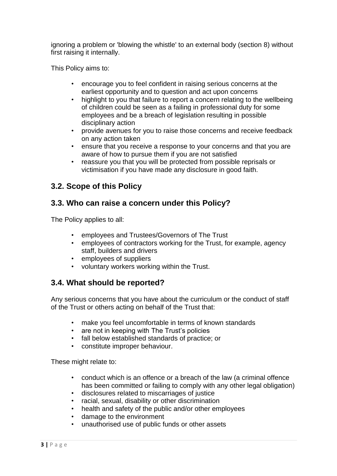ignoring a problem or 'blowing the whistle' to an external body (section 8) without first raising it internally.

This Policy aims to:

- encourage you to feel confident in raising serious concerns at the earliest opportunity and to question and act upon concerns
- highlight to you that failure to report a concern relating to the wellbeing of children could be seen as a failing in professional duty for some employees and be a breach of legislation resulting in possible disciplinary action
- provide avenues for you to raise those concerns and receive feedback on any action taken
- ensure that you receive a response to your concerns and that you are aware of how to pursue them if you are not satisfied
- reassure you that you will be protected from possible reprisals or victimisation if you have made any disclosure in good faith.

# **3.2. Scope of this Policy**

### **3.3. Who can raise a concern under this Policy?**

The Policy applies to all:

- employees and Trustees/Governors of The Trust
- employees of contractors working for the Trust, for example, agency staff, builders and drivers
- employees of suppliers
- voluntary workers working within the Trust.

# **3.4. What should be reported?**

Any serious concerns that you have about the curriculum or the conduct of staff of the Trust or others acting on behalf of the Trust that:

- make you feel uncomfortable in terms of known standards
- are not in keeping with The Trust's policies
- fall below established standards of practice; or
- constitute improper behaviour.

These might relate to:

- conduct which is an offence or a breach of the law (a criminal offence has been committed or failing to comply with any other legal obligation)
- disclosures related to miscarriages of justice
- racial, sexual, disability or other discrimination
- health and safety of the public and/or other employees
- damage to the environment
- unauthorised use of public funds or other assets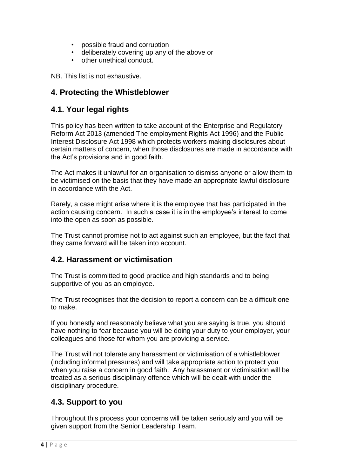- possible fraud and corruption
- deliberately covering up any of the above or
- other unethical conduct.

NB. This list is not exhaustive.

# **4. Protecting the Whistleblower**

# **4.1. Your legal rights**

This policy has been written to take account of the Enterprise and Regulatory Reform Act 2013 (amended The employment Rights Act 1996) and the Public Interest Disclosure Act 1998 which protects workers making disclosures about certain matters of concern, when those disclosures are made in accordance with the Act's provisions and in good faith.

The Act makes it unlawful for an organisation to dismiss anyone or allow them to be victimised on the basis that they have made an appropriate lawful disclosure in accordance with the Act.

Rarely, a case might arise where it is the employee that has participated in the action causing concern. In such a case it is in the employee's interest to come into the open as soon as possible.

The Trust cannot promise not to act against such an employee, but the fact that they came forward will be taken into account.

# **4.2. Harassment or victimisation**

The Trust is committed to good practice and high standards and to being supportive of you as an employee.

The Trust recognises that the decision to report a concern can be a difficult one to make.

If you honestly and reasonably believe what you are saying is true, you should have nothing to fear because you will be doing your duty to your employer, your colleagues and those for whom you are providing a service.

The Trust will not tolerate any harassment or victimisation of a whistleblower (including informal pressures) and will take appropriate action to protect you when you raise a concern in good faith. Any harassment or victimisation will be treated as a serious disciplinary offence which will be dealt with under the disciplinary procedure.

# **4.3. Support to you**

Throughout this process your concerns will be taken seriously and you will be given support from the Senior Leadership Team.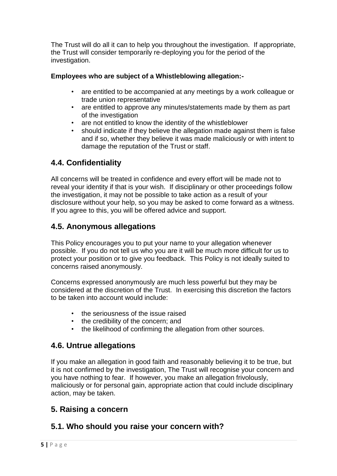The Trust will do all it can to help you throughout the investigation. If appropriate, the Trust will consider temporarily re-deploying you for the period of the investigation.

### **Employees who are subject of a Whistleblowing allegation:-**

- are entitled to be accompanied at any meetings by a work colleague or trade union representative
- are entitled to approve any minutes/statements made by them as part of the investigation
- are not entitled to know the identity of the whistleblower
- should indicate if they believe the allegation made against them is false and if so, whether they believe it was made maliciously or with intent to damage the reputation of the Trust or staff.

# **4.4. Confidentiality**

All concerns will be treated in confidence and every effort will be made not to reveal your identity if that is your wish. If disciplinary or other proceedings follow the investigation, it may not be possible to take action as a result of your disclosure without your help, so you may be asked to come forward as a witness. If you agree to this, you will be offered advice and support.

# **4.5. Anonymous allegations**

This Policy encourages you to put your name to your allegation whenever possible. If you do not tell us who you are it will be much more difficult for us to protect your position or to give you feedback. This Policy is not ideally suited to concerns raised anonymously.

Concerns expressed anonymously are much less powerful but they may be considered at the discretion of the Trust. In exercising this discretion the factors to be taken into account would include:

- the seriousness of the issue raised
- the credibility of the concern; and
- the likelihood of confirming the allegation from other sources.

# **4.6. Untrue allegations**

If you make an allegation in good faith and reasonably believing it to be true, but it is not confirmed by the investigation, The Trust will recognise your concern and you have nothing to fear. If however, you make an allegation frivolously, maliciously or for personal gain, appropriate action that could include disciplinary action, may be taken.

# **5. Raising a concern**

# **5.1. Who should you raise your concern with?**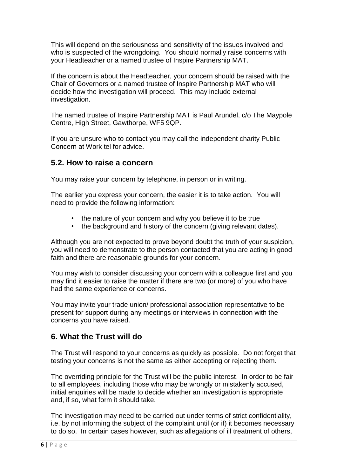This will depend on the seriousness and sensitivity of the issues involved and who is suspected of the wrongdoing. You should normally raise concerns with your Headteacher or a named trustee of Inspire Partnership MAT.

If the concern is about the Headteacher, your concern should be raised with the Chair of Governors or a named trustee of Inspire Partnership MAT who will decide how the investigation will proceed. This may include external investigation.

The named trustee of Inspire Partnership MAT is Paul Arundel, c/o The Maypole Centre, High Street, Gawthorpe, WF5 9QP.

If you are unsure who to contact you may call the independent charity Public Concern at Work tel for advice.

### **5.2. How to raise a concern**

You may raise your concern by telephone, in person or in writing.

The earlier you express your concern, the easier it is to take action. You will need to provide the following information:

- the nature of your concern and why you believe it to be true
- the background and history of the concern (giving relevant dates).

Although you are not expected to prove beyond doubt the truth of your suspicion, you will need to demonstrate to the person contacted that you are acting in good faith and there are reasonable grounds for your concern.

You may wish to consider discussing your concern with a colleague first and you may find it easier to raise the matter if there are two (or more) of you who have had the same experience or concerns.

You may invite your trade union/ professional association representative to be present for support during any meetings or interviews in connection with the concerns you have raised.

# **6. What the Trust will do**

The Trust will respond to your concerns as quickly as possible. Do not forget that testing your concerns is not the same as either accepting or rejecting them.

The overriding principle for the Trust will be the public interest. In order to be fair to all employees, including those who may be wrongly or mistakenly accused, initial enquiries will be made to decide whether an investigation is appropriate and, if so, what form it should take.

The investigation may need to be carried out under terms of strict confidentiality, i.e. by not informing the subject of the complaint until (or if) it becomes necessary to do so. In certain cases however, such as allegations of ill treatment of others,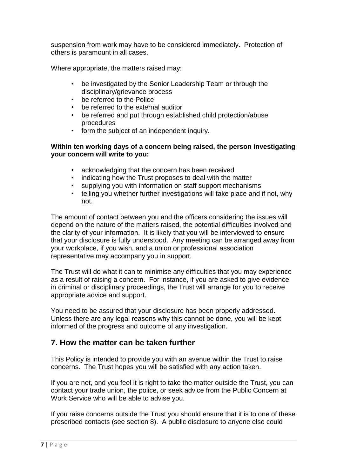suspension from work may have to be considered immediately. Protection of others is paramount in all cases.

Where appropriate, the matters raised may:

- be investigated by the Senior Leadership Team or through the disciplinary/grievance process
- be referred to the Police
- be referred to the external auditor
- be referred and put through established child protection/abuse procedures
- form the subject of an independent inquiry.

#### **Within ten working days of a concern being raised, the person investigating your concern will write to you:**

- acknowledging that the concern has been received
- indicating how the Trust proposes to deal with the matter
- supplying you with information on staff support mechanisms
- telling you whether further investigations will take place and if not, why not.

The amount of contact between you and the officers considering the issues will depend on the nature of the matters raised, the potential difficulties involved and the clarity of your information. It is likely that you will be interviewed to ensure that your disclosure is fully understood. Any meeting can be arranged away from your workplace, if you wish, and a union or professional association representative may accompany you in support.

The Trust will do what it can to minimise any difficulties that you may experience as a result of raising a concern. For instance, if you are asked to give evidence in criminal or disciplinary proceedings, the Trust will arrange for you to receive appropriate advice and support.

You need to be assured that your disclosure has been properly addressed. Unless there are any legal reasons why this cannot be done, you will be kept informed of the progress and outcome of any investigation.

# **7. How the matter can be taken further**

This Policy is intended to provide you with an avenue within the Trust to raise concerns. The Trust hopes you will be satisfied with any action taken.

If you are not, and you feel it is right to take the matter outside the Trust, you can contact your trade union, the police, or seek advice from the Public Concern at Work Service who will be able to advise you.

If you raise concerns outside the Trust you should ensure that it is to one of these prescribed contacts (see section 8). A public disclosure to anyone else could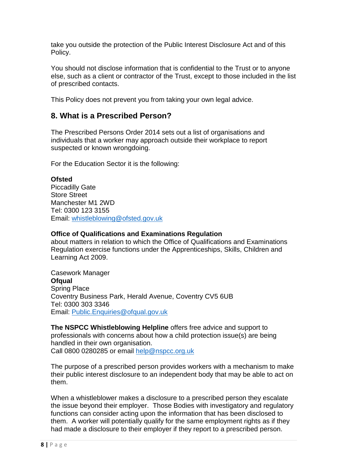take you outside the protection of the Public Interest Disclosure Act and of this Policy.

You should not disclose information that is confidential to the Trust or to anyone else, such as a client or contractor of the Trust, except to those included in the list of prescribed contacts.

This Policy does not prevent you from taking your own legal advice.

# **8. What is a Prescribed Person?**

The Prescribed Persons Order 2014 sets out a list of organisations and individuals that a worker may approach outside their workplace to report suspected or known wrongdoing.

For the Education Sector it is the following:

#### **Ofsted**

Piccadilly Gate Store Street Manchester M1 2WD Tel: 0300 123 3155 Email: [whistleblowing@ofsted.gov.uk](mailto:whistleblowing@ofsted.gov.uk)

#### **Office of Qualifications and Examinations Regulation**

about matters in relation to which the Office of Qualifications and Examinations Regulation exercise functions under the Apprenticeships, Skills, Children and Learning Act 2009.

Casework Manager **Ofqual**  Spring Place Coventry Business Park, Herald Avenue, Coventry CV5 6UB Tel: 0300 303 3346 Email: [Public.Enquiries@ofqual.gov.uk](mailto:Public.Enquiries@ofqual.gov.uk)

**The NSPCC Whistleblowing Helpline** offers free advice and support to professionals with concerns about how a child protection issue(s) are being handled in their own organisation. Call 0800 0280285 or email [help@nspcc.org.uk](mailto:help@nspcc.org.uk)

The purpose of a prescribed person provides workers with a mechanism to make their public interest disclosure to an independent body that may be able to act on them.

When a whistleblower makes a disclosure to a prescribed person they escalate the issue beyond their employer. Those Bodies with investigatory and regulatory functions can consider acting upon the information that has been disclosed to them. A worker will potentially qualify for the same employment rights as if they had made a disclosure to their employer if they report to a prescribed person.